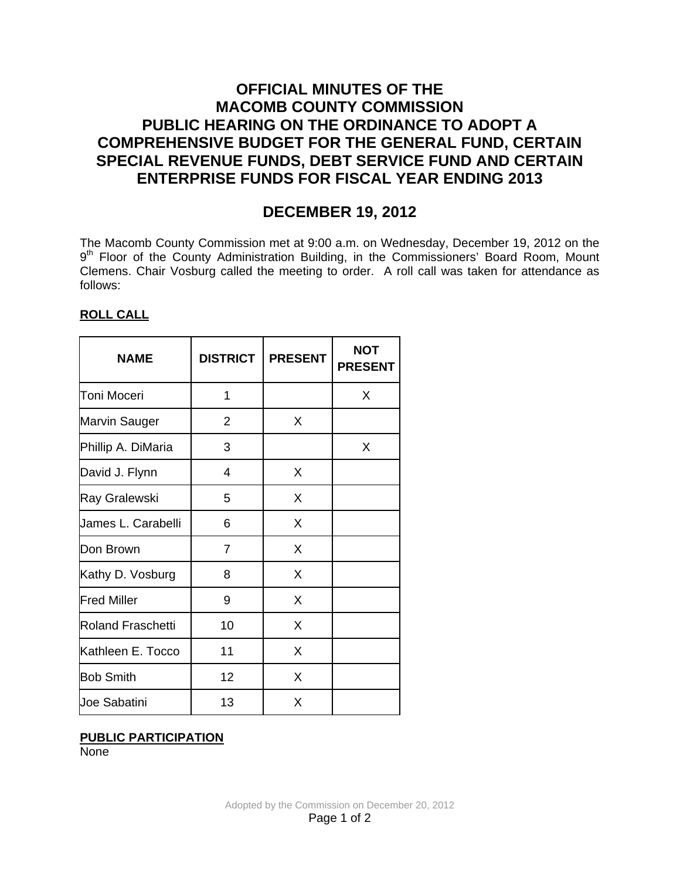## **OFFICIAL MINUTES OF THE MACOMB COUNTY COMMISSION PUBLIC HEARING ON THE ORDINANCE TO ADOPT A COMPREHENSIVE BUDGET FOR THE GENERAL FUND, CERTAIN SPECIAL REVENUE FUNDS, DEBT SERVICE FUND AND CERTAIN ENTERPRISE FUNDS FOR FISCAL YEAR ENDING 2013**

# **DECEMBER 19, 2012**

The Macomb County Commission met at 9:00 a.m. on Wednesday, December 19, 2012 on the 9<sup>th</sup> Floor of the County Administration Building, in the Commissioners' Board Room, Mount Clemens. Chair Vosburg called the meeting to order. A roll call was taken for attendance as follows:

### **ROLL CALL**

| <b>NAME</b>              | <b>DISTRICT</b> | <b>PRESENT</b> | <b>NOT</b><br><b>PRESENT</b> |
|--------------------------|-----------------|----------------|------------------------------|
| <b>Toni Moceri</b>       | 1               |                | X                            |
| <b>Marvin Sauger</b>     | 2               | X              |                              |
| Phillip A. DiMaria       | 3               |                | X                            |
| David J. Flynn           | 4               | X              |                              |
| Ray Gralewski            | 5               | X              |                              |
| James L. Carabelli       | 6               | X              |                              |
| Don Brown                | $\overline{7}$  | X              |                              |
| Kathy D. Vosburg         | 8               | X              |                              |
| <b>Fred Miller</b>       | 9               | X              |                              |
| <b>Roland Fraschetti</b> | 10              | X              |                              |
| Kathleen E. Tocco        | 11              | X              |                              |
| <b>Bob Smith</b>         | 12              | X              |                              |
| <b>Joe Sabatini</b>      | 13              | X              |                              |

## **PUBLIC PARTICIPATION**

None